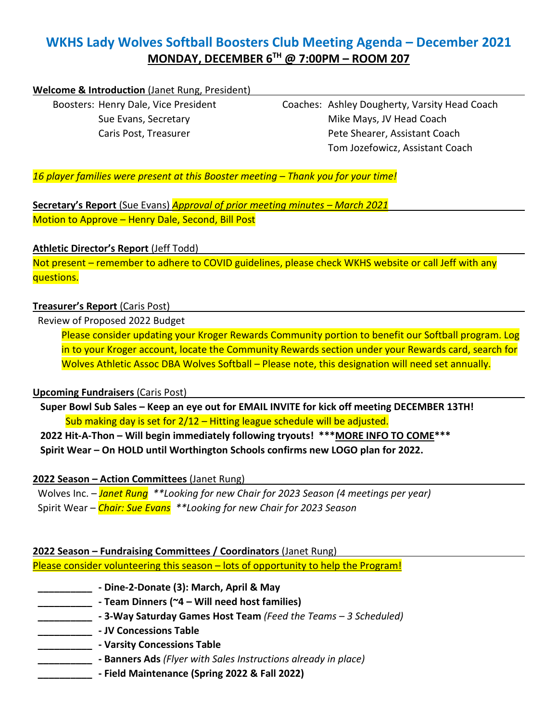# **WKHS Lady Wolves Softball Boosters Club Meeting Agenda – December 2021 MONDAY, DECEMBER 6TH @ 7:00PM – ROOM 207**

#### **Welcome & Introduction** (Janet Rung, President)

Boosters: Henry Dale, Vice President Coaches: Ashley Dougherty, Varsity Head Coach Sue Evans, Secretary **Mike Mays, JV Head Coach** Caris Post, Treasurer **Pete Shearer, Assistant Coach** Tom Jozefowicz, Assistant Coach

*16 player families were present at this Booster meeting – Thank you for your time!*

**Secretary's Report** (Sue Evans) *Approval of prior meeting minutes – March 2021* Motion to Approve – Henry Dale, Second, Bill Post

#### **Athletic Director's Report** (Jeff Todd)

Not present – remember to adhere to COVID guidelines, please check WKHS website or call Jeff with any questions.

#### **Treasurer's Report** (Caris Post)

Review of Proposed 2022 Budget

Please consider updating your Kroger Rewards Community portion to benefit our Softball program. Log in to your Kroger account, locate the Community Rewards section under your Rewards card, search for Wolves Athletic Assoc DBA Wolves Softball – Please note, this designation will need set annually.

### **Upcoming Fundraisers** (Caris Post)

 **Super Bowl Sub Sales – Keep an eye out for EMAIL INVITE for kick off meeting DECEMBER 13TH!** Sub making day is set for 2/12 – Hitting league schedule will be adjusted.

 **2022 Hit-A-Thon – Will begin immediately following tryouts! \*\*\*MORE INFO TO COME\*\*\* Spirit Wear – On HOLD until Worthington Schools confirms new LOGO plan for 2022.**

### **2022 Season – Action Committees** (Janet Rung)

 Wolves Inc. – *Janet Rung \*\*Looking for new Chair for 2023 Season (4 meetings per year)* Spirit Wear – *Chair: Sue Evans \*\*Looking for new Chair for 2023 Season*

### **2022 Season – Fundraising Committees / Coordinators** (Janet Rung) Please consider volunteering this season – lots of opportunity to help the Program!

- **\_\_\_\_\_\_\_\_\_\_ - Dine-2-Donate (3): March, April & May**
	- **\_\_\_\_\_\_\_\_\_\_ - Team Dinners (~4 – Will need host families)**
- **\_\_\_\_\_\_\_\_\_\_ - 3-Way Saturday Games Host Team** *(Feed the Teams – 3 Scheduled)*
- **\_\_\_\_\_\_\_\_\_\_ - JV Concessions Table**
	- **\_\_\_\_\_\_\_\_\_\_ - Varsity Concessions Table**
		- **\_\_\_\_\_\_\_\_\_\_ - Banners Ads** *(Flyer with Sales Instructions already in place)*
	- **\_\_\_\_\_\_\_\_\_\_ - Field Maintenance (Spring 2022 & Fall 2022)**